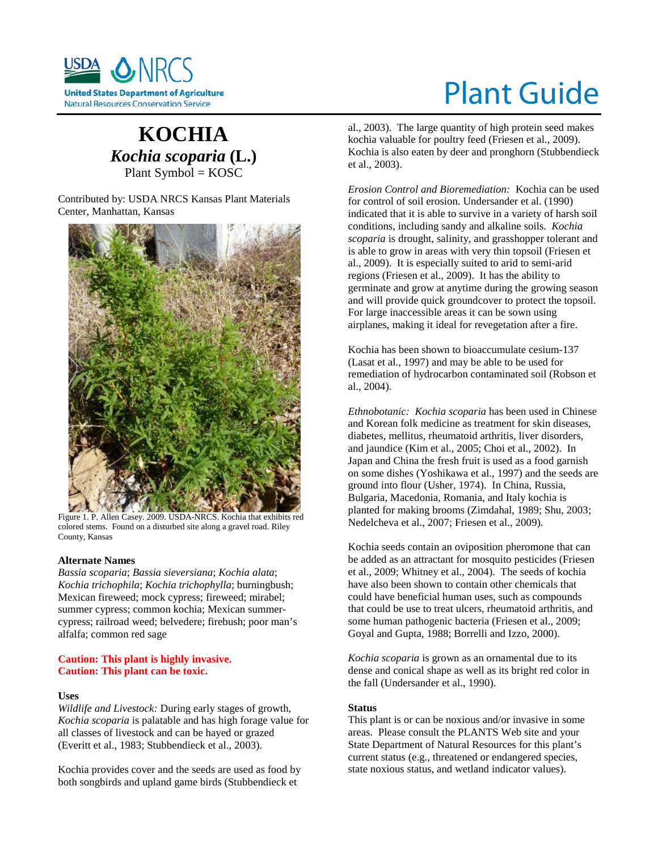

# Plant Guide

# **KOCHIA** *Kochia scoparia* **(L.)** Plant Symbol = KOSC

Contributed by: USDA NRCS Kansas Plant Materials Center, Manhattan, Kansas



Figure 1. P. Allen Casey. 2009. USDA-NRCS. Kochia that exhibits red colored stems. Found on a disturbed site along a gravel road. Riley County, Kansas

# **Alternate Names**

*Bassia scoparia*; *Bassia sieversiana*; *Kochia alata*; *Kochia trichophila*; *Kochia trichophylla*; burningbush; Mexican fireweed; mock cypress; fireweed; mirabel; summer cypress; common kochia; Mexican summercypress; railroad weed; belvedere; firebush; poor man's alfalfa; common red sage

# **Caution: This plant is highly invasive. Caution: This plant can be toxic.**

# **Uses**

*Wildlife and Livestock:* During early stages of growth, *Kochia scoparia* is palatable and has high forage value for all classes of livestock and can be hayed or grazed (Everitt et al., 1983; Stubbendieck et al., 2003).

Kochia provides cover and the seeds are used as food by both songbirds and upland game birds (Stubbendieck et

al., 2003). The large quantity of high protein seed makes kochia valuable for poultry feed (Friesen et al., 2009). Kochia is also eaten by deer and pronghorn (Stubbendieck et al., 2003).

*Erosion Control and Bioremediation:* Kochia can be used for control of soil erosion. Undersander et al. (1990) indicated that it is able to survive in a variety of harsh soil conditions, including sandy and alkaline soils. *Kochia scoparia* is drought, salinity, and grasshopper tolerant and is able to grow in areas with very thin topsoil (Friesen et al., 2009). It is especially suited to arid to semi-arid regions (Friesen et al., 2009). It has the ability to germinate and grow at anytime during the growing season and will provide quick groundcover to protect the topsoil. For large inaccessible areas it can be sown using airplanes, making it ideal for revegetation after a fire.

Kochia has been shown to bioaccumulate cesium-137 (Lasat et al., 1997) and may be able to be used for remediation of hydrocarbon contaminated soil (Robson et al., 2004).

*Ethnobotanic: Kochia scoparia* has been used in Chinese and Korean folk medicine as treatment for skin diseases, diabetes, mellitus, rheumatoid arthritis, liver disorders, and jaundice (Kim et al., 2005; Choi et al., 2002). In Japan and China the fresh fruit is used as a food garnish on some dishes (Yoshikawa et al., 1997) and the seeds are ground into flour (Usher, 1974). In China, Russia, Bulgaria, Macedonia, Romania, and Italy kochia is planted for making brooms (Zimdahal, 1989; Shu, 2003; Nedelcheva et al., 2007; Friesen et al., 2009).

Kochia seeds contain an oviposition pheromone that can be added as an attractant for mosquito pesticides (Friesen et al., 2009; Whitney et al., 2004). The seeds of kochia have also been shown to contain other chemicals that could have beneficial human uses, such as compounds that could be use to treat ulcers, rheumatoid arthritis, and some human pathogenic bacteria (Friesen et al., 2009; Goyal and Gupta, 1988; Borrelli and Izzo, 2000).

*Kochia scoparia* is grown as an ornamental due to its dense and conical shape as well as its bright red color in the fall (Undersander et al., 1990).

# **Status**

This plant is or can be noxious and/or invasive in some areas. Please consult the PLANTS Web site and your State Department of Natural Resources for this plant's current status (e.g., threatened or endangered species, state noxious status, and wetland indicator values).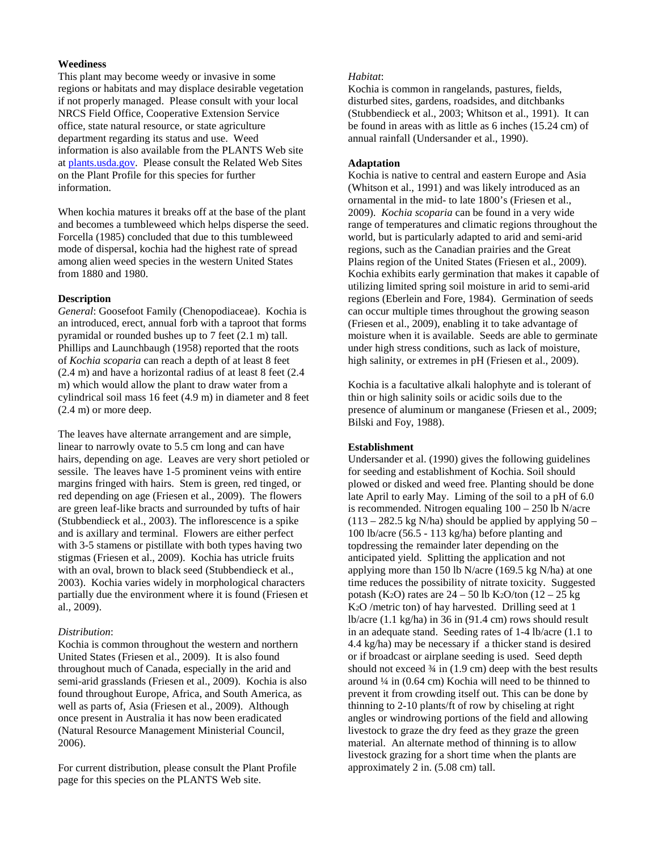# **Weediness**

This plant may become weedy or invasive in some regions or habitats and may displace desirable vegetation if not properly managed. Please consult with your local NRCS Field Office, Cooperative Extension Service office, state natural resource, or state agriculture department regarding its status and use. Weed information is also available from the PLANTS Web site at plants.usda.gov. Please consult the Related Web Sites on the Plant Profile for this species for further information.

When kochia matures it breaks off at the base of the plant and becomes a tumbleweed which helps disperse the seed. Forcella (1985) concluded that due to this tumbleweed mode of dispersal, kochia had the highest rate of spread among alien weed species in the western United States from 1880 and 1980.

# **Description**

*General*: Goosefoot Family (Chenopodiaceae). Kochia is an introduced, erect, annual forb with a taproot that forms pyramidal or rounded bushes up to 7 feet (2.1 m) tall. Phillips and Launchbaugh (1958) reported that the roots of *Kochia scoparia* can reach a depth of at least 8 feet (2.4 m) and have a horizontal radius of at least 8 feet (2.4 m) which would allow the plant to draw water from a cylindrical soil mass 16 feet (4.9 m) in diameter and 8 feet (2.4 m) or more deep.

The leaves have alternate arrangement and are simple, linear to narrowly ovate to 5.5 cm long and can have hairs, depending on age. Leaves are very short petioled or sessile. The leaves have 1-5 prominent veins with entire margins fringed with hairs. Stem is green, red tinged, or red depending on age (Friesen et al., 2009). The flowers are green leaf-like bracts and surrounded by tufts of hair (Stubbendieck et al., 2003). The inflorescence is a spike and is axillary and terminal. Flowers are either perfect with 3-5 stamens or pistillate with both types having two stigmas (Friesen et al., 2009). Kochia has utricle fruits with an oval, brown to black seed (Stubbendieck et al., 2003). Kochia varies widely in morphological characters partially due the environment where it is found (Friesen et al., 2009).

#### *Distribution*:

Kochia is common throughout the western and northern United States (Friesen et al., 2009). It is also found throughout much of Canada, especially in the arid and semi-arid grasslands (Friesen et al., 2009). Kochia is also found throughout Europe, Africa, and South America, as well as parts of, Asia (Friesen et al., 2009). Although once present in Australia it has now been eradicated (Natural Resource Management Ministerial Council, 2006).

For current distribution, please consult the Plant Profile page for this species on the PLANTS Web site.

# *Habitat*:

Kochia is common in rangelands, pastures, fields, disturbed sites, gardens, roadsides, and ditchbanks (Stubbendieck et al., 2003; Whitson et al., 1991). It can be found in areas with as little as 6 inches (15.24 cm) of annual rainfall (Undersander et al., 1990).

#### **Adaptation**

Kochia is native to central and eastern Europe and Asia (Whitson et al., 1991) and was likely introduced as an ornamental in the mid- to late 1800's (Friesen et al., 2009). *Kochia scoparia* can be found in a very wide range of temperatures and climatic regions throughout the world, but is particularly adapted to arid and semi-arid regions, such as the Canadian prairies and the Great Plains region of the United States (Friesen et al., 2009). Kochia exhibits early germination that makes it capable of utilizing limited spring soil moisture in arid to semi-arid regions (Eberlein and Fore, 1984). Germination of seeds can occur multiple times throughout the growing season (Friesen et al., 2009), enabling it to take advantage of moisture when it is available. Seeds are able to germinate under high stress conditions, such as lack of moisture, high salinity, or extremes in pH (Friesen et al., 2009).

Kochia is a facultative alkali halophyte and is tolerant of thin or high salinity soils or acidic soils due to the presence of aluminum or manganese (Friesen et al., 2009; Bilski and Foy, 1988).

#### **Establishment**

Undersander et al. (1990) gives the following guidelines for seeding and establishment of Kochia. Soil should plowed or disked and weed free. Planting should be done late April to early May. Liming of the soil to a pH of 6.0 is recommended. Nitrogen equaling 100 – 250 lb N/acre  $(113 - 282.5 \text{ kg N/ha})$  should be applied by applying  $50 -$ 100 lb/acre (56.5 - 113 kg/ha) before planting and topdressing the remainder later depending on the anticipated yield. Splitting the application and not applying more than 150 lb N/acre (169.5 kg N/ha) at one time reduces the possibility of nitrate toxicity. Suggested potash (K<sub>2</sub>O) rates are  $24 - 50$  lb K<sub>2</sub>O/ton (12 – 25 kg) K2O /metric ton) of hay harvested. Drilling seed at 1 lb/acre (1.1 kg/ha) in 36 in (91.4 cm) rows should result in an adequate stand. Seeding rates of 1-4 lb/acre (1.1 to 4.4 kg/ha) may be necessary if a thicker stand is desired or if broadcast or airplane seeding is used. Seed depth should not exceed  $\frac{3}{4}$  in (1.9 cm) deep with the best results around ¼ in (0.64 cm) Kochia will need to be thinned to prevent it from crowding itself out. This can be done by thinning to 2-10 plants/ft of row by chiseling at right angles or windrowing portions of the field and allowing livestock to graze the dry feed as they graze the green material. An alternate method of thinning is to allow livestock grazing for a short time when the plants are approximately 2 in. (5.08 cm) tall.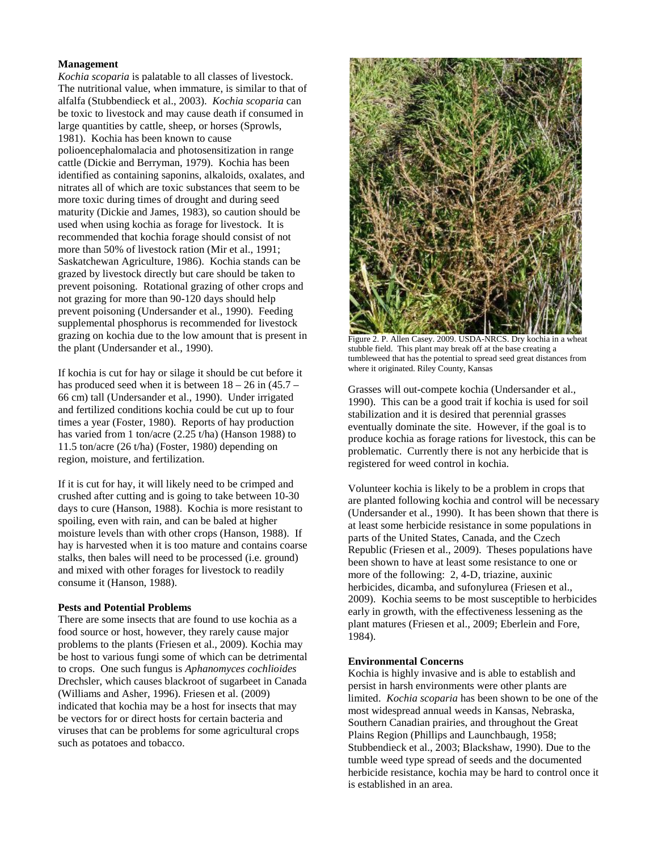# **Management**

*Kochia scoparia* is palatable to all classes of livestock. The nutritional value, when immature, is similar to that of alfalfa (Stubbendieck et al., 2003). *Kochia scoparia* can be toxic to livestock and may cause death if consumed in large quantities by cattle, sheep, or horses (Sprowls, 1981). Kochia has been known to cause polioencephalomalacia and photosensitization in range cattle (Dickie and Berryman, 1979). Kochia has been identified as containing saponins, alkaloids, oxalates, and nitrates all of which are toxic substances that seem to be more toxic during times of drought and during seed maturity (Dickie and James, 1983), so caution should be used when using kochia as forage for livestock. It is recommended that kochia forage should consist of not more than 50% of livestock ration (Mir et al., 1991; Saskatchewan Agriculture, 1986). Kochia stands can be grazed by livestock directly but care should be taken to prevent poisoning. Rotational grazing of other crops and not grazing for more than 90-120 days should help prevent poisoning (Undersander et al., 1990). Feeding supplemental phosphorus is recommended for livestock grazing on kochia due to the low amount that is present in the plant (Undersander et al., 1990).

If kochia is cut for hay or silage it should be cut before it has produced seed when it is between  $18 - 26$  in  $(45.7 -$ 66 cm) tall (Undersander et al., 1990). Under irrigated and fertilized conditions kochia could be cut up to four times a year (Foster, 1980). Reports of hay production has varied from 1 ton/acre (2.25 t/ha) (Hanson 1988) to 11.5 ton/acre (26 t/ha) (Foster, 1980) depending on region, moisture, and fertilization.

If it is cut for hay, it will likely need to be crimped and crushed after cutting and is going to take between 10-30 days to cure (Hanson, 1988). Kochia is more resistant to spoiling, even with rain, and can be baled at higher moisture levels than with other crops (Hanson, 1988). If hay is harvested when it is too mature and contains coarse stalks, then bales will need to be processed (i.e. ground) and mixed with other forages for livestock to readily consume it (Hanson, 1988).

# **Pests and Potential Problems**

There are some insects that are found to use kochia as a food source or host, however, they rarely cause major problems to the plants (Friesen et al., 2009). Kochia may be host to various fungi some of which can be detrimental to crops. One such fungus is *Aphanomyces cochlioides* Drechsler, which causes blackroot of sugarbeet in Canada (Williams and Asher, 1996). Friesen et al. (2009) indicated that kochia may be a host for insects that may be vectors for or direct hosts for certain bacteria and viruses that can be problems for some agricultural crops such as potatoes and tobacco.



Figure 2. P. Allen Casey. 2009. USDA-NRCS. Dry kochia in a wheat stubble field. This plant may break off at the base creating a tumbleweed that has the potential to spread seed great distances from where it originated. Riley County, Kansas

Grasses will out-compete kochia (Undersander et al., 1990). This can be a good trait if kochia is used for soil stabilization and it is desired that perennial grasses eventually dominate the site. However, if the goal is to produce kochia as forage rations for livestock, this can be problematic. Currently there is not any herbicide that is registered for weed control in kochia.

Volunteer kochia is likely to be a problem in crops that are planted following kochia and control will be necessary (Undersander et al., 1990). It has been shown that there is at least some herbicide resistance in some populations in parts of the United States, Canada, and the Czech Republic (Friesen et al., 2009). Theses populations have been shown to have at least some resistance to one or more of the following: 2, 4-D, triazine, auxinic herbicides, dicamba, and sufonylurea (Friesen et al., 2009). Kochia seems to be most susceptible to herbicides early in growth, with the effectiveness lessening as the plant matures (Friesen et al., 2009; Eberlein and Fore, 1984).

# **Environmental Concerns**

Kochia is highly invasive and is able to establish and persist in harsh environments were other plants are limited. *Kochia scoparia* has been shown to be one of the most widespread annual weeds in Kansas, Nebraska, Southern Canadian prairies, and throughout the Great Plains Region (Phillips and Launchbaugh, 1958; Stubbendieck et al., 2003; Blackshaw, 1990). Due to the tumble weed type spread of seeds and the documented herbicide resistance, kochia may be hard to control once it is established in an area.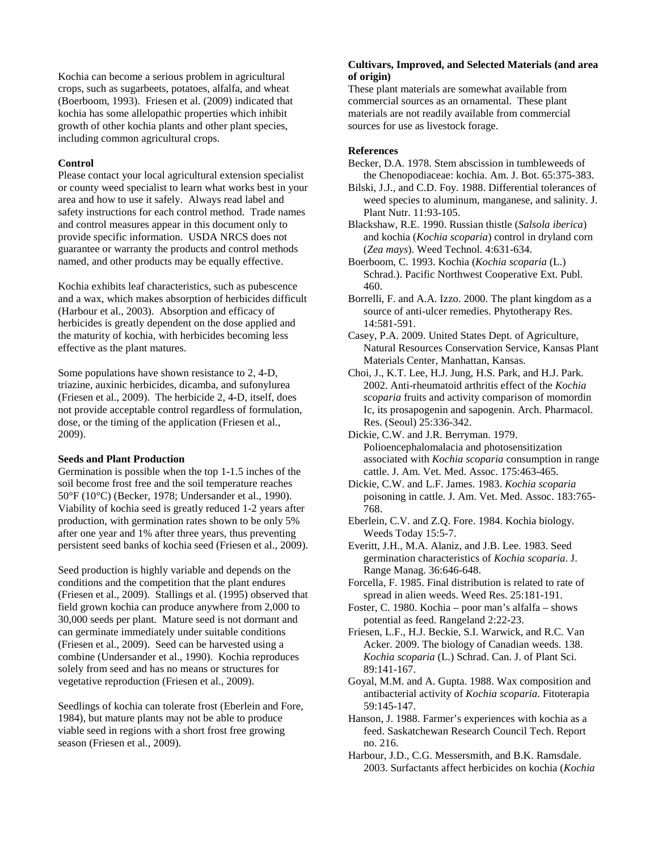Kochia can become a serious problem in agricultural crops, such as sugarbeets, potatoes, alfalfa, and wheat (Boerboom, 1993). Friesen et al. (2009) indicated that kochia has some allelopathic properties which inhibit growth of other kochia plants and other plant species, including common agricultural crops.

# **Control**

Please contact your local agricultural extension specialist or county weed specialist to learn what works best in your area and how to use it safely. Always read label and safety instructions for each control method. Trade names and control measures appear in this document only to provide specific information. USDA NRCS does not guarantee or warranty the products and control methods named, and other products may be equally effective.

Kochia exhibits leaf characteristics, such as pubescence and a wax, which makes absorption of herbicides difficult (Harbour et al., 2003). Absorption and efficacy of herbicides is greatly dependent on the dose applied and the maturity of kochia, with herbicides becoming less effective as the plant matures.

Some populations have shown resistance to 2, 4-D, triazine, auxinic herbicides, dicamba, and sufonylurea (Friesen et al., 2009). The herbicide 2, 4-D, itself, does not provide acceptable control regardless of formulation, dose, or the timing of the application (Friesen et al., 2009).

# **Seeds and Plant Production**

Germination is possible when the top 1-1.5 inches of the soil become frost free and the soil temperature reaches 50°F (10°C) (Becker, 1978; Undersander et al., 1990). Viability of kochia seed is greatly reduced 1-2 years after production, with germination rates shown to be only 5% after one year and 1% after three years, thus preventing persistent seed banks of kochia seed (Friesen et al., 2009).

Seed production is highly variable and depends on the conditions and the competition that the plant endures (Friesen et al., 2009). Stallings et al. (1995) observed that field grown kochia can produce anywhere from 2,000 to 30,000 seeds per plant. Mature seed is not dormant and can germinate immediately under suitable conditions (Friesen et al., 2009). Seed can be harvested using a combine (Undersander et al., 1990). Kochia reproduces solely from seed and has no means or structures for vegetative reproduction (Friesen et al., 2009).

Seedlings of kochia can tolerate frost (Eberlein and Fore, 1984), but mature plants may not be able to produce viable seed in regions with a short frost free growing season (Friesen et al., 2009).

# **Cultivars, Improved, and Selected Materials (and area of origin)**

These plant materials are somewhat available from commercial sources as an ornamental. These plant materials are not readily available from commercial sources for use as livestock forage.

# **References**

- Becker, D.A. 1978. Stem abscission in tumbleweeds of the Chenopodiaceae: kochia. Am. J. Bot. 65:375-383.
- Bilski, J.J., and C.D. Foy. 1988. Differential tolerances of weed species to aluminum, manganese, and salinity. J. Plant Nutr. 11:93-105.
- Blackshaw, R.E. 1990. Russian thistle (*Salsola iberica*) and kochia (*Kochia scoparia*) control in dryland corn (*Zea mays*). Weed Technol. 4:631-634.
- Boerboom, C. 1993. Kochia (*Kochia scoparia* (L.) Schrad.). Pacific Northwest Cooperative Ext. Publ. 460.
- Borrelli, F. and A.A. Izzo. 2000. The plant kingdom as a source of anti-ulcer remedies. Phytotherapy Res. 14:581-591.
- Casey, P.A. 2009. United States Dept. of Agriculture, Natural Resources Conservation Service, Kansas Plant Materials Center, Manhattan, Kansas.
- Choi, J., K.T. Lee, H.J. Jung, H.S. Park, and H.J. Park. 2002. Anti-rheumatoid arthritis effect of the *Kochia scoparia* fruits and activity comparison of momordin Ic, its prosapogenin and sapogenin. Arch. Pharmacol. Res. (Seoul) 25:336-342.
- Dickie, C.W. and J.R. Berryman. 1979. Polioencephalomalacia and photosensitization associated with *Kochia scoparia* consumption in range cattle. J. Am. Vet. Med. Assoc. 175:463-465.
- Dickie, C.W. and L.F. James. 1983. *Kochia scoparia* poisoning in cattle. J. Am. Vet. Med. Assoc. 183:765- 768.
- Eberlein, C.V. and Z.Q. Fore. 1984. Kochia biology. Weeds Today 15:5-7.
- Everitt, J.H., M.A. Alaniz, and J.B. Lee. 1983. Seed germination characteristics of *Kochia scoparia*. J. Range Manag. 36:646-648.
- Forcella, F. 1985. Final distribution is related to rate of spread in alien weeds. Weed Res. 25:181-191.
- Foster, C. 1980. Kochia poor man's alfalfa shows potential as feed. Rangeland 2:22-23.
- Friesen, L.F., H.J. Beckie, S.I. Warwick, and R.C. Van Acker. 2009. The biology of Canadian weeds. 138. *Kochia scoparia* (L.) Schrad. Can. J. of Plant Sci. 89:141-167.
- Goyal, M.M. and A. Gupta. 1988. Wax composition and antibacterial activity of *Kochia scoparia*. Fitoterapia 59:145-147.
- Hanson, J. 1988. Farmer's experiences with kochia as a feed. Saskatchewan Research Council Tech. Report no. 216.
- Harbour, J.D., C.G. Messersmith, and B.K. Ramsdale. 2003. Surfactants affect herbicides on kochia (*Kochia*